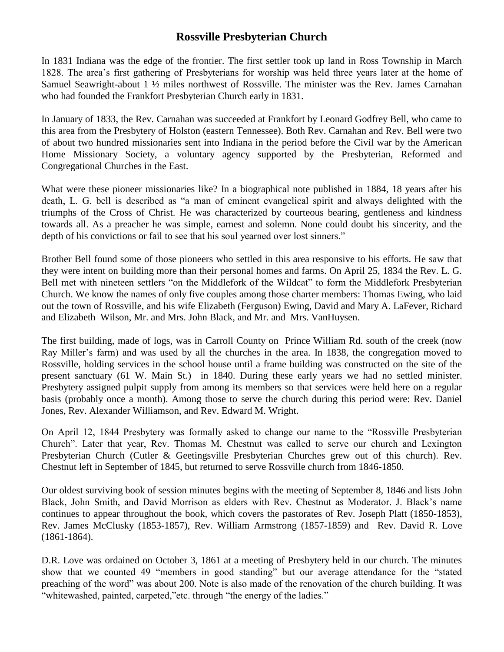## **Rossville Presbyterian Church**

In 1831 Indiana was the edge of the frontier. The first settler took up land in Ross Township in March 1828. The area's first gathering of Presbyterians for worship was held three years later at the home of Samuel Seawright-about 1 ½ miles northwest of Rossville. The minister was the Rev. James Carnahan who had founded the Frankfort Presbyterian Church early in 1831.

In January of 1833, the Rev. Carnahan was succeeded at Frankfort by Leonard Godfrey Bell, who came to this area from the Presbytery of Holston (eastern Tennessee). Both Rev. Carnahan and Rev. Bell were two of about two hundred missionaries sent into Indiana in the period before the Civil war by the American Home Missionary Society, a voluntary agency supported by the Presbyterian, Reformed and Congregational Churches in the East.

What were these pioneer missionaries like? In a biographical note published in 1884, 18 years after his death, L. G. bell is described as "a man of eminent evangelical spirit and always delighted with the triumphs of the Cross of Christ. He was characterized by courteous bearing, gentleness and kindness towards all. As a preacher he was simple, earnest and solemn. None could doubt his sincerity, and the depth of his convictions or fail to see that his soul yearned over lost sinners."

Brother Bell found some of those pioneers who settled in this area responsive to his efforts. He saw that they were intent on building more than their personal homes and farms. On April 25, 1834 the Rev. L. G. Bell met with nineteen settlers "on the Middlefork of the Wildcat" to form the Middlefork Presbyterian Church. We know the names of only five couples among those charter members: Thomas Ewing, who laid out the town of Rossville, and his wife Elizabeth (Ferguson) Ewing, David and Mary A. LaFever, Richard and Elizabeth Wilson, Mr. and Mrs. John Black, and Mr. and Mrs. VanHuysen.

The first building, made of logs, was in Carroll County on Prince William Rd. south of the creek (now Ray Miller's farm) and was used by all the churches in the area. In 1838, the congregation moved to Rossville, holding services in the school house until a frame building was constructed on the site of the present sanctuary (61 W. Main St.) in 1840. During these early years we had no settled minister. Presbytery assigned pulpit supply from among its members so that services were held here on a regular basis (probably once a month). Among those to serve the church during this period were: Rev. Daniel Jones, Rev. Alexander Williamson, and Rev. Edward M. Wright.

On April 12, 1844 Presbytery was formally asked to change our name to the "Rossville Presbyterian Church". Later that year, Rev. Thomas M. Chestnut was called to serve our church and Lexington Presbyterian Church (Cutler & Geetingsville Presbyterian Churches grew out of this church). Rev. Chestnut left in September of 1845, but returned to serve Rossville church from 1846-1850.

Our oldest surviving book of session minutes begins with the meeting of September 8, 1846 and lists John Black, John Smith, and David Morrison as elders with Rev. Chestnut as Moderator. J. Black's name continues to appear throughout the book, which covers the pastorates of Rev. Joseph Platt (1850-1853), Rev. James McClusky (1853-1857), Rev. William Armstrong (1857-1859) and Rev. David R. Love (1861-1864).

D.R. Love was ordained on October 3, 1861 at a meeting of Presbytery held in our church. The minutes show that we counted 49 "members in good standing" but our average attendance for the "stated preaching of the word" was about 200. Note is also made of the renovation of the church building. It was "whitewashed, painted, carpeted,"etc. through "the energy of the ladies."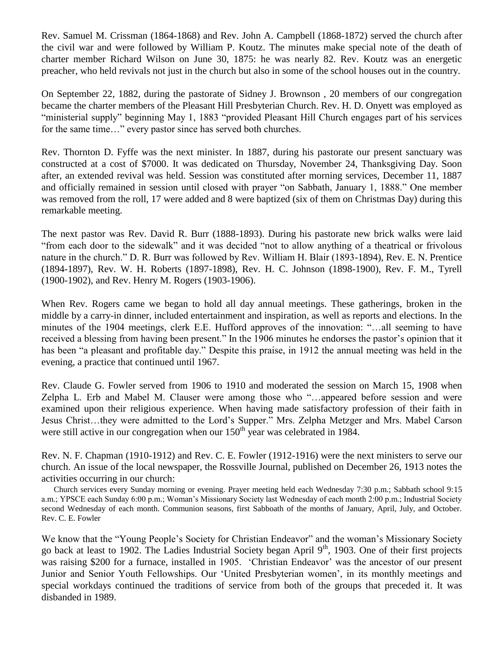Rev. Samuel M. Crissman (1864-1868) and Rev. John A. Campbell (1868-1872) served the church after the civil war and were followed by William P. Koutz. The minutes make special note of the death of charter member Richard Wilson on June 30, 1875: he was nearly 82. Rev. Koutz was an energetic preacher, who held revivals not just in the church but also in some of the school houses out in the country.

On September 22, 1882, during the pastorate of Sidney J. Brownson , 20 members of our congregation became the charter members of the Pleasant Hill Presbyterian Church. Rev. H. D. Onyett was employed as "ministerial supply" beginning May 1, 1883 "provided Pleasant Hill Church engages part of his services for the same time…" every pastor since has served both churches.

Rev. Thornton D. Fyffe was the next minister. In 1887, during his pastorate our present sanctuary was constructed at a cost of \$7000. It was dedicated on Thursday, November 24, Thanksgiving Day. Soon after, an extended revival was held. Session was constituted after morning services, December 11, 1887 and officially remained in session until closed with prayer "on Sabbath, January 1, 1888." One member was removed from the roll, 17 were added and 8 were baptized (six of them on Christmas Day) during this remarkable meeting.

The next pastor was Rev. David R. Burr (1888-1893). During his pastorate new brick walks were laid "from each door to the sidewalk" and it was decided "not to allow anything of a theatrical or frivolous nature in the church." D. R. Burr was followed by Rev. William H. Blair (1893-1894), Rev. E. N. Prentice (1894-1897), Rev. W. H. Roberts (1897-1898), Rev. H. C. Johnson (1898-1900), Rev. F. M., Tyrell (1900-1902), and Rev. Henry M. Rogers (1903-1906).

When Rev. Rogers came we began to hold all day annual meetings. These gatherings, broken in the middle by a carry-in dinner, included entertainment and inspiration, as well as reports and elections. In the minutes of the 1904 meetings, clerk E.E. Hufford approves of the innovation: "…all seeming to have received a blessing from having been present." In the 1906 minutes he endorses the pastor's opinion that it has been "a pleasant and profitable day." Despite this praise, in 1912 the annual meeting was held in the evening, a practice that continued until 1967.

Rev. Claude G. Fowler served from 1906 to 1910 and moderated the session on March 15, 1908 when Zelpha L. Erb and Mabel M. Clauser were among those who "…appeared before session and were examined upon their religious experience. When having made satisfactory profession of their faith in Jesus Christ…they were admitted to the Lord's Supper." Mrs. Zelpha Metzger and Mrs. Mabel Carson were still active in our congregation when our  $150<sup>th</sup>$  year was celebrated in 1984.

Rev. N. F. Chapman (1910-1912) and Rev. C. E. Fowler (1912-1916) were the next ministers to serve our church. An issue of the local newspaper, the Rossville Journal, published on December 26, 1913 notes the activities occurring in our church:

 Church services every Sunday morning or evening. Prayer meeting held each Wednesday 7:30 p.m.; Sabbath school 9:15 a.m.; YPSCE each Sunday 6:00 p.m.; Woman's Missionary Society last Wednesday of each month 2:00 p.m.; Industrial Society second Wednesday of each month. Communion seasons, first Sabboath of the months of January, April, July, and October. Rev. C. E. Fowler

We know that the "Young People's Society for Christian Endeavor" and the woman's Missionary Society go back at least to 1902. The Ladies Industrial Society began April 9<sup>th</sup>, 1903. One of their first projects was raising \$200 for a furnace, installed in 1905. 'Christian Endeavor' was the ancestor of our present Junior and Senior Youth Fellowships. Our 'United Presbyterian women', in its monthly meetings and special workdays continued the traditions of service from both of the groups that preceded it. It was disbanded in 1989.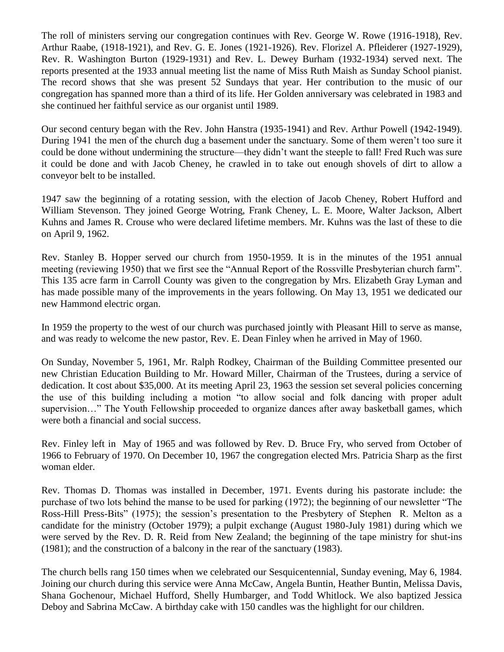The roll of ministers serving our congregation continues with Rev. George W. Rowe (1916-1918), Rev. Arthur Raabe, (1918-1921), and Rev. G. E. Jones (1921-1926). Rev. Florizel A. Pfleiderer (1927-1929), Rev. R. Washington Burton (1929-1931) and Rev. L. Dewey Burham (1932-1934) served next. The reports presented at the 1933 annual meeting list the name of Miss Ruth Maish as Sunday School pianist. The record shows that she was present 52 Sundays that year. Her contribution to the music of our congregation has spanned more than a third of its life. Her Golden anniversary was celebrated in 1983 and she continued her faithful service as our organist until 1989.

Our second century began with the Rev. John Hanstra (1935-1941) and Rev. Arthur Powell (1942-1949). During 1941 the men of the church dug a basement under the sanctuary. Some of them weren't too sure it could be done without undermining the structure—they didn't want the steeple to fall! Fred Ruch was sure it could be done and with Jacob Cheney, he crawled in to take out enough shovels of dirt to allow a conveyor belt to be installed.

1947 saw the beginning of a rotating session, with the election of Jacob Cheney, Robert Hufford and William Stevenson. They joined George Wotring, Frank Cheney, L. E. Moore, Walter Jackson, Albert Kuhns and James R. Crouse who were declared lifetime members. Mr. Kuhns was the last of these to die on April 9, 1962.

Rev. Stanley B. Hopper served our church from 1950-1959. It is in the minutes of the 1951 annual meeting (reviewing 1950) that we first see the "Annual Report of the Rossville Presbyterian church farm". This 135 acre farm in Carroll County was given to the congregation by Mrs. Elizabeth Gray Lyman and has made possible many of the improvements in the years following. On May 13, 1951 we dedicated our new Hammond electric organ.

In 1959 the property to the west of our church was purchased jointly with Pleasant Hill to serve as manse, and was ready to welcome the new pastor, Rev. E. Dean Finley when he arrived in May of 1960.

On Sunday, November 5, 1961, Mr. Ralph Rodkey, Chairman of the Building Committee presented our new Christian Education Building to Mr. Howard Miller, Chairman of the Trustees, during a service of dedication. It cost about \$35,000. At its meeting April 23, 1963 the session set several policies concerning the use of this building including a motion "to allow social and folk dancing with proper adult supervision…" The Youth Fellowship proceeded to organize dances after away basketball games, which were both a financial and social success.

Rev. Finley left in May of 1965 and was followed by Rev. D. Bruce Fry, who served from October of 1966 to February of 1970. On December 10, 1967 the congregation elected Mrs. Patricia Sharp as the first woman elder.

Rev. Thomas D. Thomas was installed in December, 1971. Events during his pastorate include: the purchase of two lots behind the manse to be used for parking (1972); the beginning of our newsletter "The Ross-Hill Press-Bits" (1975); the session's presentation to the Presbytery of Stephen R. Melton as a candidate for the ministry (October 1979); a pulpit exchange (August 1980-July 1981) during which we were served by the Rev. D. R. Reid from New Zealand; the beginning of the tape ministry for shut-ins (1981); and the construction of a balcony in the rear of the sanctuary (1983).

The church bells rang 150 times when we celebrated our Sesquicentennial, Sunday evening, May 6, 1984. Joining our church during this service were Anna McCaw, Angela Buntin, Heather Buntin, Melissa Davis, Shana Gochenour, Michael Hufford, Shelly Humbarger, and Todd Whitlock. We also baptized Jessica Deboy and Sabrina McCaw. A birthday cake with 150 candles was the highlight for our children.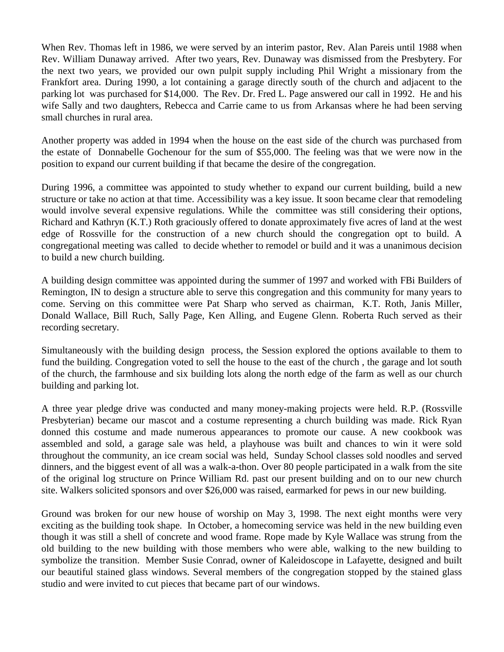When Rev. Thomas left in 1986, we were served by an interim pastor, Rev. Alan Pareis until 1988 when Rev. William Dunaway arrived. After two years, Rev. Dunaway was dismissed from the Presbytery. For the next two years, we provided our own pulpit supply including Phil Wright a missionary from the Frankfort area. During 1990, a lot containing a garage directly south of the church and adjacent to the parking lot was purchased for \$14,000. The Rev. Dr. Fred L. Page answered our call in 1992. He and his wife Sally and two daughters, Rebecca and Carrie came to us from Arkansas where he had been serving small churches in rural area.

Another property was added in 1994 when the house on the east side of the church was purchased from the estate of Donnabelle Gochenour for the sum of \$55,000. The feeling was that we were now in the position to expand our current building if that became the desire of the congregation.

During 1996, a committee was appointed to study whether to expand our current building, build a new structure or take no action at that time. Accessibility was a key issue. It soon became clear that remodeling would involve several expensive regulations. While the committee was still considering their options, Richard and Kathryn (K.T.) Roth graciously offered to donate approximately five acres of land at the west edge of Rossville for the construction of a new church should the congregation opt to build. A congregational meeting was called to decide whether to remodel or build and it was a unanimous decision to build a new church building.

A building design committee was appointed during the summer of 1997 and worked with FBi Builders of Remington, IN to design a structure able to serve this congregation and this community for many years to come. Serving on this committee were Pat Sharp who served as chairman, K.T. Roth, Janis Miller, Donald Wallace, Bill Ruch, Sally Page, Ken Alling, and Eugene Glenn. Roberta Ruch served as their recording secretary.

Simultaneously with the building design process, the Session explored the options available to them to fund the building. Congregation voted to sell the house to the east of the church , the garage and lot south of the church, the farmhouse and six building lots along the north edge of the farm as well as our church building and parking lot.

A three year pledge drive was conducted and many money-making projects were held. R.P. (Rossville Presbyterian) became our mascot and a costume representing a church building was made. Rick Ryan donned this costume and made numerous appearances to promote our cause. A new cookbook was assembled and sold, a garage sale was held, a playhouse was built and chances to win it were sold throughout the community, an ice cream social was held, Sunday School classes sold noodles and served dinners, and the biggest event of all was a walk-a-thon. Over 80 people participated in a walk from the site of the original log structure on Prince William Rd. past our present building and on to our new church site. Walkers solicited sponsors and over \$26,000 was raised, earmarked for pews in our new building.

Ground was broken for our new house of worship on May 3, 1998. The next eight months were very exciting as the building took shape. In October, a homecoming service was held in the new building even though it was still a shell of concrete and wood frame. Rope made by Kyle Wallace was strung from the old building to the new building with those members who were able, walking to the new building to symbolize the transition. Member Susie Conrad, owner of Kaleidoscope in Lafayette, designed and built our beautiful stained glass windows. Several members of the congregation stopped by the stained glass studio and were invited to cut pieces that became part of our windows.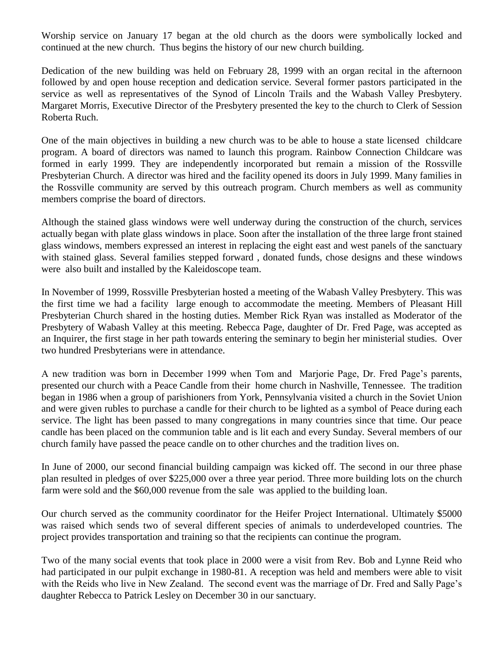Worship service on January 17 began at the old church as the doors were symbolically locked and continued at the new church. Thus begins the history of our new church building.

Dedication of the new building was held on February 28, 1999 with an organ recital in the afternoon followed by and open house reception and dedication service. Several former pastors participated in the service as well as representatives of the Synod of Lincoln Trails and the Wabash Valley Presbytery. Margaret Morris, Executive Director of the Presbytery presented the key to the church to Clerk of Session Roberta Ruch.

One of the main objectives in building a new church was to be able to house a state licensed childcare program. A board of directors was named to launch this program. Rainbow Connection Childcare was formed in early 1999. They are independently incorporated but remain a mission of the Rossville Presbyterian Church. A director was hired and the facility opened its doors in July 1999. Many families in the Rossville community are served by this outreach program. Church members as well as community members comprise the board of directors.

Although the stained glass windows were well underway during the construction of the church, services actually began with plate glass windows in place. Soon after the installation of the three large front stained glass windows, members expressed an interest in replacing the eight east and west panels of the sanctuary with stained glass. Several families stepped forward , donated funds, chose designs and these windows were also built and installed by the Kaleidoscope team.

In November of 1999, Rossville Presbyterian hosted a meeting of the Wabash Valley Presbytery. This was the first time we had a facility large enough to accommodate the meeting. Members of Pleasant Hill Presbyterian Church shared in the hosting duties. Member Rick Ryan was installed as Moderator of the Presbytery of Wabash Valley at this meeting. Rebecca Page, daughter of Dr. Fred Page, was accepted as an Inquirer, the first stage in her path towards entering the seminary to begin her ministerial studies. Over two hundred Presbyterians were in attendance.

A new tradition was born in December 1999 when Tom and Marjorie Page, Dr. Fred Page's parents, presented our church with a Peace Candle from their home church in Nashville, Tennessee. The tradition began in 1986 when a group of parishioners from York, Pennsylvania visited a church in the Soviet Union and were given rubles to purchase a candle for their church to be lighted as a symbol of Peace during each service. The light has been passed to many congregations in many countries since that time. Our peace candle has been placed on the communion table and is lit each and every Sunday. Several members of our church family have passed the peace candle on to other churches and the tradition lives on.

In June of 2000, our second financial building campaign was kicked off. The second in our three phase plan resulted in pledges of over \$225,000 over a three year period. Three more building lots on the church farm were sold and the \$60,000 revenue from the sale was applied to the building loan.

Our church served as the community coordinator for the Heifer Project International. Ultimately \$5000 was raised which sends two of several different species of animals to underdeveloped countries. The project provides transportation and training so that the recipients can continue the program.

Two of the many social events that took place in 2000 were a visit from Rev. Bob and Lynne Reid who had participated in our pulpit exchange in 1980-81. A reception was held and members were able to visit with the Reids who live in New Zealand. The second event was the marriage of Dr. Fred and Sally Page's daughter Rebecca to Patrick Lesley on December 30 in our sanctuary.